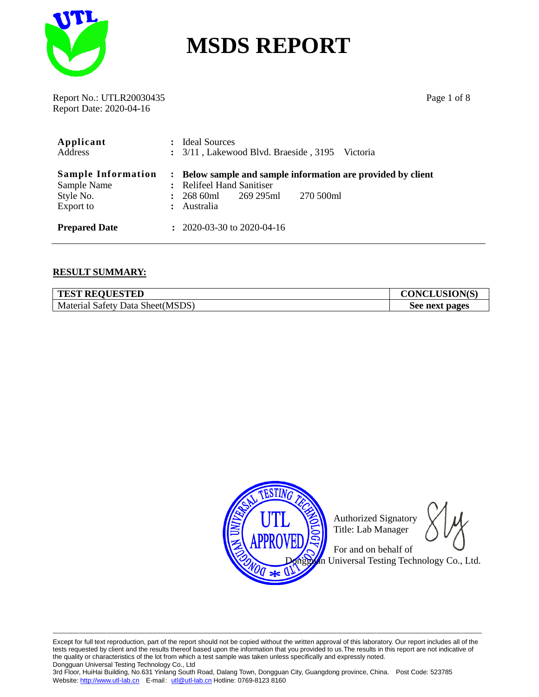

Report No.: UTLR20030435 Page 1 of 8 Report Date: 2020-04-16

| Applicant<br>Address                                               |              | <b>Ideal Sources</b><br>: 3/11, Lakewood Blvd. Braeside, 3195 Victoria                                                                      |  |  |  |  |
|--------------------------------------------------------------------|--------------|---------------------------------------------------------------------------------------------------------------------------------------------|--|--|--|--|
| <b>Sample Information</b><br>Sample Name<br>Style No.<br>Export to | $\mathbf{r}$ | : Below sample and sample information are provided by client<br>: Relifeel Hand Sanitiser<br>270 500ml<br>268 60ml 269 295ml<br>: Australia |  |  |  |  |
| <b>Prepared Date</b>                                               |              | $\div$ 2020-03-30 to 2020-04-16                                                                                                             |  |  |  |  |

#### **RESULT SUMMARY:**

| <b>TEST REQUESTED</b>            | <b>CONCLUSION(S)</b> |
|----------------------------------|----------------------|
| Material Safety Data Sheet(MSDS) | See next pages       |



Authorized Signatory Title: Lab Manager

 For and on behalf of n Universal Testing Technology Co., Ltd.

Except for full text reproduction, part of the report should not be copied without the written approval of this laboratory. Our report includes all of the tests requested by client and the results thereof based upon the information that you provided to us.The results in this report are not indicative of the quality or characteristics of the lot from which a test sample was taken unless specifically and expressly noted. Dongguan Universal Testing Technology Co., Ltd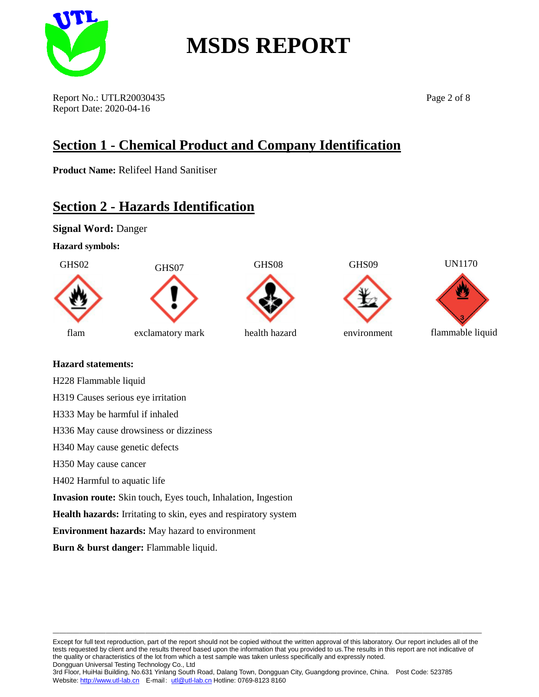

Report No.: UTLR20030435 Page 2 of 8 Report Date: 2020-04-16

### **Section 1 - Chemical Product and Company Identification**

**Product Name:** Relifeel Hand Sanitiser

### **Section 2 - Hazards Identification**

**Signal Word:** Danger

**Hazard symbols:**







UN1170

flammable liquid

#### **Hazard statements:**

H228 Flammable liquid

H319 Causes serious eye irritation

H333 May be harmful if inhaled

H336 May cause drowsiness or dizziness

H340 May cause genetic defects

H350 May cause cancer

H402 Harmful to aquatic life

**Invasion route:** Skin touch, Eyes touch, Inhalation, Ingestion

**Health hazards:** Irritating to skin, eyes and respiratory system

**Environment hazards:** May hazard to environment

**Burn & burst danger:** Flammable liquid.

Except for full text reproduction, part of the report should not be copied without the written approval of this laboratory. Our report includes all of the tests requested by client and the results thereof based upon the information that you provided to us.The results in this report are not indicative of the quality or characteristics of the lot from which a test sample was taken unless specifically and expressly noted. Dongguan Universal Testing Technology Co., Ltd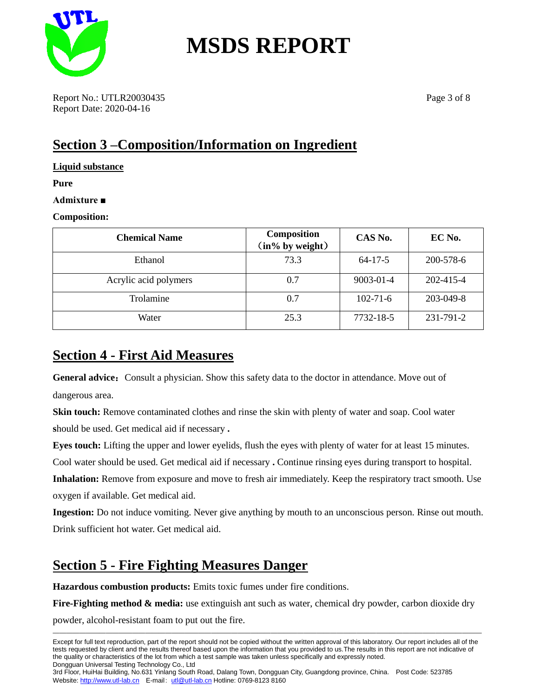

Report No.: UTLR20030435 Page 3 of 8 Report Date: 2020-04-16

### **Section 3 –Composition/Information on Ingredient**

**Liquid substance**

**Pure** 

**Admixture ■**

#### **Composition:**

| <b>Chemical Name</b>  | <b>Composition</b><br>(in% by weight) | CAS No.        | EC No.    |
|-----------------------|---------------------------------------|----------------|-----------|
| Ethanol               | 73.3                                  | $64 - 17 - 5$  | 200-578-6 |
| Acrylic acid polymers | 0.7                                   | 9003-01-4      | 202-415-4 |
| Trolamine             | 0.7                                   | $102 - 71 - 6$ | 203-049-8 |
| Water                 | 25.3                                  | 7732-18-5      | 231-791-2 |

### **Section 4 - First Aid Measures**

General advice: Consult a physician. Show this safety data to the doctor in attendance. Move out of dangerous area.

**Skin touch:** Remove contaminated clothes and rinse the skin with plenty of water and soap. Cool water **s**hould be used. Get medical aid if necessary **.**

**Eyes touch:** Lifting the upper and lower eyelids, flush the eyes with plenty of water for at least 15 minutes.

Cool water should be used. Get medical aid if necessary **.** Continue rinsing eyes during transport to hospital.

**Inhalation:** Remove from exposure and move to fresh air immediately. Keep the respiratory tract smooth. Use oxygen if available. Get medical aid.

**Ingestion:** Do not induce vomiting. Never give anything by mouth to an unconscious person. Rinse out mouth. Drink sufficient hot water. Get medical aid.

### **Section 5 - Fire Fighting Measures Danger**

**Hazardous combustion products:** Emits toxic fumes under fire conditions.

**Fire-Fighting method & media:** use extinguish ant such as water, chemical dry powder, carbon dioxide dry

powder, alcohol-resistant foam to put out the fire.

—————————————————————————————————————————————————————————————————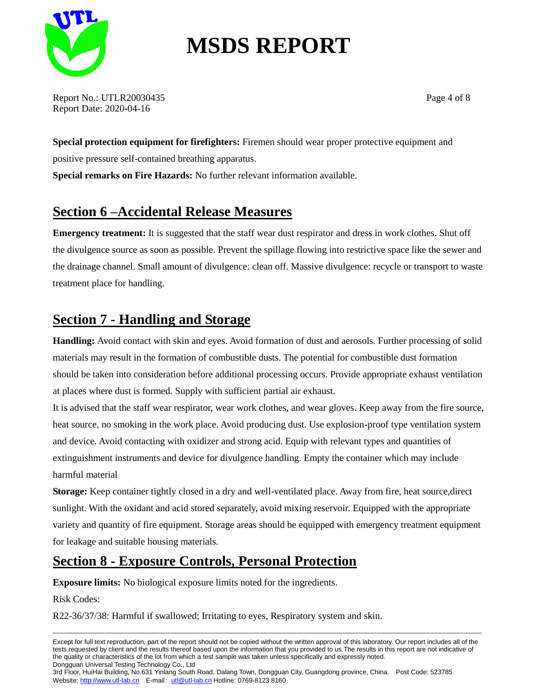

Report No.: UTLR20030435 Page 4 of 8 Report Date: 2020-04-16

**Special protection equipment for firefighters:** Firemen should wear proper protective equipment and positive pressure self-contained breathing apparatus. **Special remarks on Fire Hazards:** No further relevant information available.

### **Section 6 –Accidental Release Measures**

**Emergency treatment:** It is suggested that the staff wear dust respirator and dress in work clothes. Shut off the divulgence source as soon as possible. Prevent the spillage flowing into restrictive space like the sewer and the drainage channel. Small amount of divulgence: clean off. Massive divulgence: recycle or transport to waste treatment place for handling.

### **Section 7 - Handling and Storage**

**Handling:** Avoid contact with skin and eyes. Avoid formation of dust and aerosols. Further processing of solid materials may result in the formation of combustible dusts. The potential for combustible dust formation should be taken into consideration before additional processing occurs. Provide appropriate exhaust ventilation at places where dust is formed. Supply with sufficient partial air exhaust.

It is advised that the staff wear respirator, wear work clothes, and wear gloves. Keep away from the fire source, heat source, no smoking in the work place. Avoid producing dust. Use explosion-proof type ventilation system and device. Avoid contacting with oxidizer and strong acid. Equip with relevant types and quantities of extinguishment instruments and device for divulgence handling. Empty the container which may include harmful material

**Storage:** Keep container tightly closed in a dry and well-ventilated place. Away from fire, heat source,direct sunlight. With the oxidant and acid stored separately, avoid mixing reservoir. Equipped with the appropriate variety and quantity of fire equipment. Storage areas should be equipped with emergency treatment equipment for leakage and suitable housing materials.

### **Section 8 - Exposure Controls, Personal Protection**

**Exposure limits:** No biological exposure limits noted for the ingredients.

Risk Codes:

R22-36/37/38: Harmful if swallowed; Irritating to eyes, Respiratory system and skin.

Except for full text reproduction, part of the report should not be copied without the written approval of this laboratory. Our report includes all of the tests requested by client and the results thereof based upon the information that you provided to us.The results in this report are not indicative of the quality or characteristics of the lot from which a test sample was taken unless specifically and expressly noted. Dongguan Universal Testing Technology Co., Ltd

—————————————————————————————————————————————————————————————————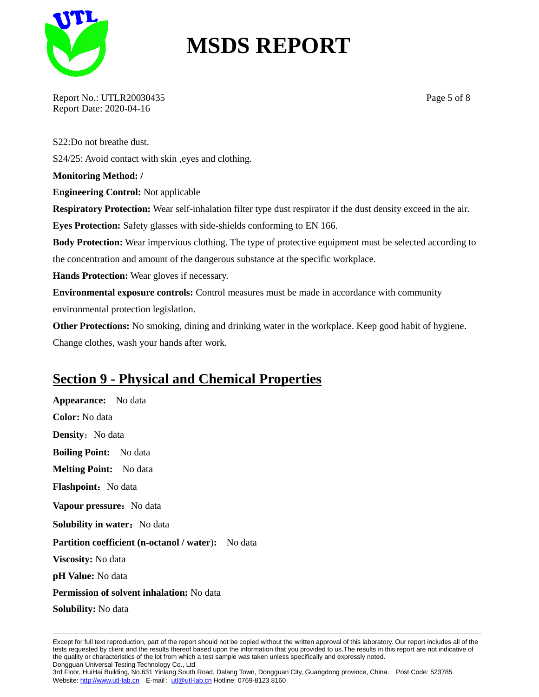

Report No.: UTLR20030435 Page 5 of 8 Report Date: 2020-04-16

S22:Do not breathe dust. S24/25: Avoid contact with skin ,eyes and clothing. **Monitoring Method: / Engineering Control:** Not applicable **Respiratory Protection:** Wear self-inhalation filter type dust respirator if the dust density exceed in the air. **Eyes Protection:** Safety glasses with side-shields conforming to EN 166. **Body Protection:** Wear impervious clothing. The type of protective equipment must be selected according to the concentration and amount of the dangerous substance at the specific workplace. **Hands Protection:** Wear gloves if necessary. **Environmental exposure controls:** Control measures must be made in accordance with community environmental protection legislation. **Other Protections:** No smoking, dining and drinking water in the workplace. Keep good habit of hygiene. Change clothes, wash your hands after work.

### **Section 9 - Physical and Chemical Properties**

**Appearance:** No data **Color:** No data **Density:** No data **Boiling Point:** No data **Melting Point:** No data **Flashpoint:** No data **Vapour pressure:** No data **Solubility in water:** No data **Partition coefficient (n-octanol / water):** No data **Viscosity:** No data **pH Value:** No data **Permission of solvent inhalation:** No data **Solubility:** No data

Except for full text reproduction, part of the report should not be copied without the written approval of this laboratory. Our report includes all of the tests requested by client and the results thereof based upon the information that you provided to us.The results in this report are not indicative of the quality or characteristics of the lot from which a test sample was taken unless specifically and expressly noted. Dongguan Universal Testing Technology Co., Ltd

—————————————————————————————————————————————————————————————————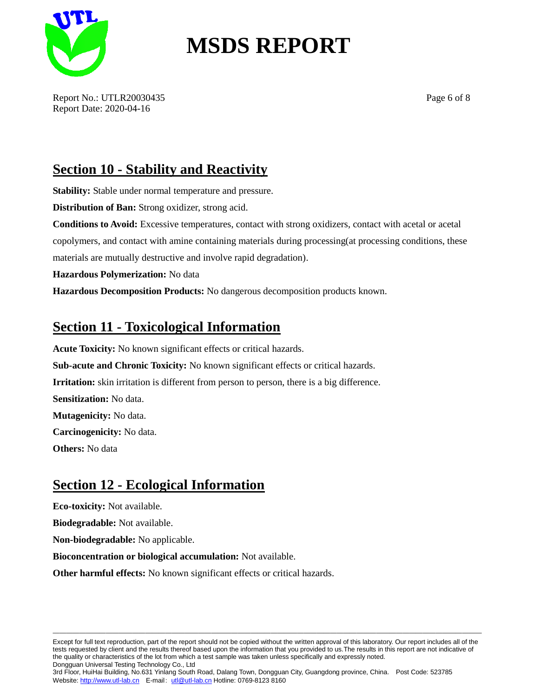

Report No.: UTLR20030435 Page 6 of 8 Report Date: 2020-04-16

### **Section 10 - Stability and Reactivity**

**Stability:** Stable under normal temperature and pressure.

**Distribution of Ban:** Strong oxidizer, strong acid.

**Conditions to Avoid:** Excessive temperatures, contact with strong oxidizers, contact with acetal or acetal copolymers, and contact with amine containing materials during processing(at processing conditions, these materials are mutually destructive and involve rapid degradation).

**Hazardous Polymerization:** No data

**Hazardous Decomposition Products:** No dangerous decomposition products known.

#### **Section 11 - Toxicological Information**

**Acute Toxicity:** No known significant effects or critical hazards. **Sub-acute and Chronic Toxicity:** No known significant effects or critical hazards. **Irritation:** skin irritation is different from person to person, there is a big difference. **Sensitization:** No data. **Mutagenicity:** No data. **Carcinogenicity:** No data. **Others:** No data

#### **Section 12 - Ecological Information**

**Eco-toxicity:** Not available.

**Biodegradable:** Not available.

**Non-biodegradable:** No applicable.

**Bioconcentration or biological accumulation:** Not available.

**Other harmful effects:** No known significant effects or critical hazards.

Except for full text reproduction, part of the report should not be copied without the written approval of this laboratory. Our report includes all of the tests requested by client and the results thereof based upon the information that you provided to us.The results in this report are not indicative of the quality or characteristics of the lot from which a test sample was taken unless specifically and expressly noted. Dongguan Universal Testing Technology Co., Ltd

—————————————————————————————————————————————————————————————————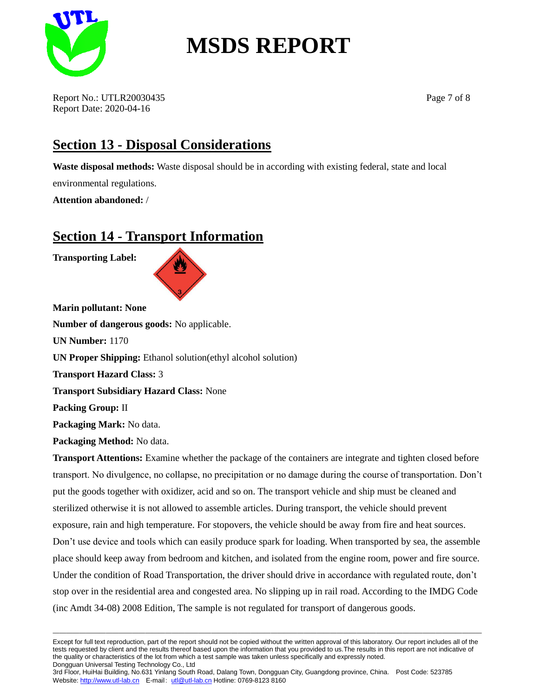

Report No.: UTLR20030435 Page 7 of 8 Report Date: 2020-04-16

### **Section 13 - Disposal Considerations**

**Waste disposal methods:** Waste disposal should be in according with existing federal, state and local environmental regulations.

**Attention abandoned:** /

### **Section 14 - Transport Information**

**Transporting Label:**



**Marin pollutant: None Number of dangerous goods:** No applicable. **UN Number:** 1170 **UN Proper Shipping:** Ethanol solution(ethyl alcohol solution) **Transport Hazard Class:** 3 **Transport Subsidiary Hazard Class:** None **Packing Group:** II **Packaging Mark:** No data. **Packaging Method:** No data.

**Transport Attentions:** Examine whether the package of the containers are integrate and tighten closed before transport. No divulgence, no collapse, no precipitation or no damage during the course of transportation. Don't put the goods together with oxidizer, acid and so on. The transport vehicle and ship must be cleaned and sterilized otherwise it is not allowed to assemble articles. During transport, the vehicle should prevent exposure, rain and high temperature. For stopovers, the vehicle should be away from fire and heat sources. Don't use device and tools which can easily produce spark for loading. When transported by sea, the assemble place should keep away from bedroom and kitchen, and isolated from the engine room, power and fire source. Under the condition of Road Transportation, the driver should drive in accordance with regulated route, don't stop over in the residential area and congested area. No slipping up in rail road. According to the IMDG Code (inc Amdt 34-08) 2008 Edition, The sample is not regulated for transport of dangerous goods.

Except for full text reproduction, part of the report should not be copied without the written approval of this laboratory. Our report includes all of the tests requested by client and the results thereof based upon the information that you provided to us.The results in this report are not indicative of the quality or characteristics of the lot from which a test sample was taken unless specifically and expressly noted. Dongguan Universal Testing Technology Co., Ltd